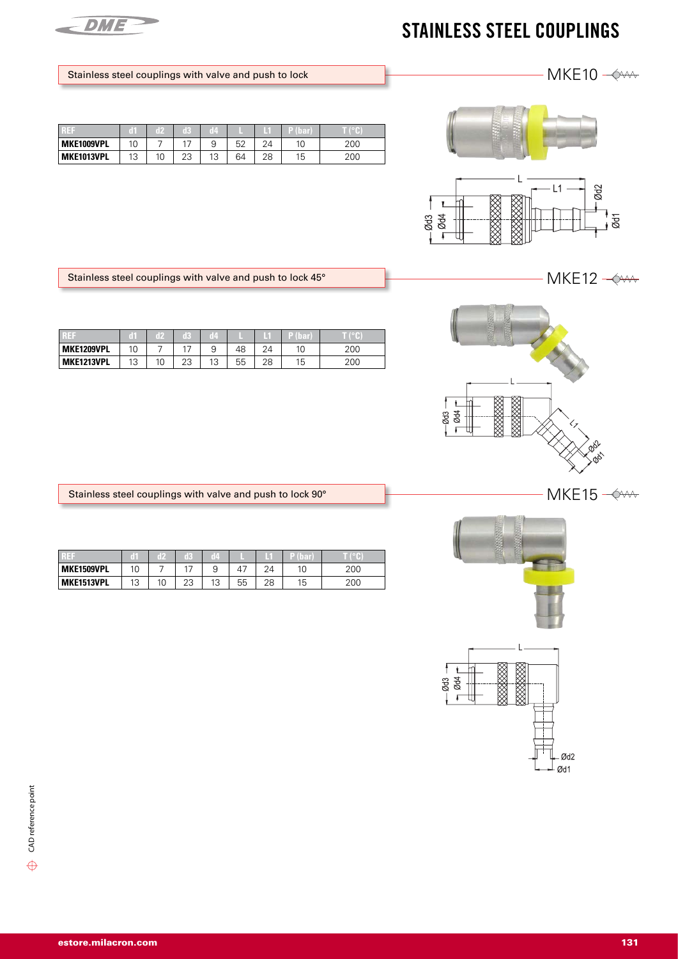

## STAINLESS STEEL COUPLINGS

## Stainless steel couplings with valve and push to lock

| Tall 1     | ٠  |    | 13       | iZ. |    | т  |    |     |
|------------|----|----|----------|-----|----|----|----|-----|
| MKE1009VPL | 10 |    |          |     | 52 | 21 | 10 | 200 |
| MKE1013VPL | 13 | 10 | つつ<br>دے | 13  | 64 | 28 | 15 | 200 |



Stainless steel couplings with valve and push to lock 45°

| R EF              | ĩlí              |    | ĸ         | Œ       |    |    | и  |     |
|-------------------|------------------|----|-----------|---------|----|----|----|-----|
| MKE1209VPL        | 10               |    |           |         | 48 | 24 |    | 200 |
| <b>MKE1213VPL</b> | $1^{\circ}$<br>U | 10 | ר ר<br>ںے | 12<br>N | 55 | 28 | 15 | 200 |



|                   |    | E  | 1R       | <b>16</b> |    |            |    |     |
|-------------------|----|----|----------|-----------|----|------------|----|-----|
| MKE1509VPL        | 10 |    |          | a         | 47 | $2\Lambda$ | 10 | 200 |
| <b>MKE1513VPL</b> | 13 | 10 | າາ<br>دے | 1つ<br>ت ، | 55 | 28         | 15 | 200 |





 $MKE12 \rightarrow$ 

MKE10  $-\diamond$